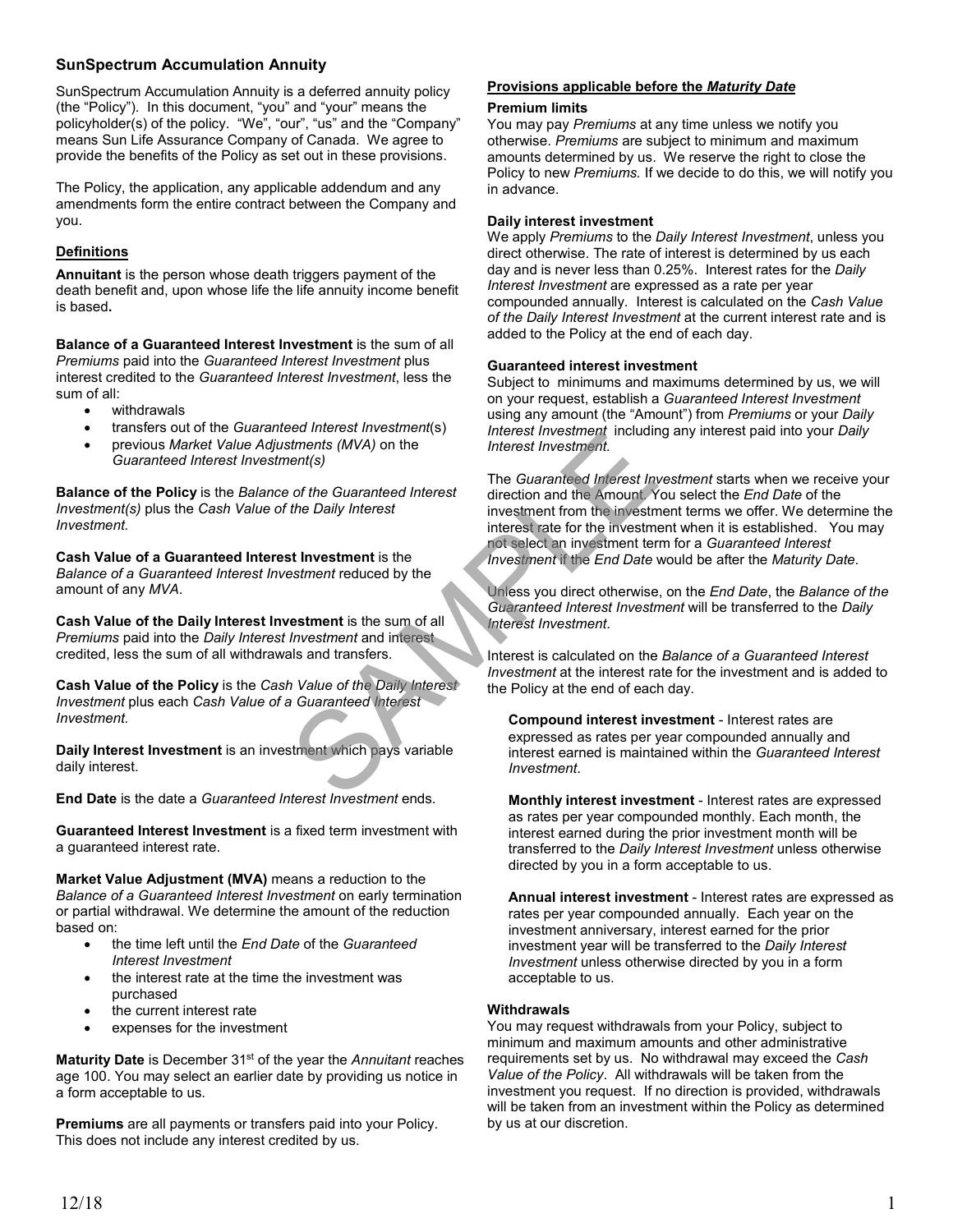## **SunSpectrum Accumulation Annuity**

SunSpectrum Accumulation Annuity is a deferred annuity policy (the "Policy"). In this document, "you" and "your" means the policyholder(s) of the policy. "We", "our", "us" and the "Company" means Sun Life Assurance Company of Canada.We agree to provide the benefits of the Policy as set out in these provisions.

The Policy, the application, any applicable addendum and any amendments form the entire contract between the Company and you.

# **Definitions**

**Annuitant** is the person whose death triggers payment of the death benefit and, upon whose life the life annuity income benefit is based**.** 

**Balance of a Guaranteed Interest Investment** is the sum of all *Premiums* paid into the *Guaranteed Interest Investment* plus interest credited to the *Guaranteed Interest Investment*, less the sum of all:

- withdrawals
- transfers out of the *Guaranteed Interest Investment*(s)
- previous *Market Value Adjustments (MVA)* on the *Guaranteed Interest Investment(s)*

**Balance of the Policy** is the *Balance of the Guaranteed Interest Investment(s)* plus the *Cash Value of the Daily Interest Investment.*

**Cash Value of a Guaranteed Interest Investment** is the *Balance of a Guaranteed Interest Investment* reduced by the amount of any *MVA*.

**Cash Value of the Daily Interest Investment** is the sum of all *Premiums* paid into the *Daily Interest Investment* and interest credited, less the sum of all withdrawals and transfers.

**Cash Value of the Policy** is the *Cash Value of the Daily Interest Investment* plus each *Cash Value of a Guaranteed Interest Investment.*

**Daily Interest Investment** is an investment which pays variable daily interest.

**End Date** is the date a *Guaranteed Interest Investment* ends.

**Guaranteed Interest Investment** is a fixed term investment with a guaranteed interest rate.

**Market Value Adjustment (MVA)** means a reduction to the *Balance of a Guaranteed Interest Investment* on early termination or partial withdrawal. We determine the amount of the reduction based on:

- the time left until the *End Date* of the *Guaranteed Interest Investment*
- the interest rate at the time the investment was purchased
- the current interest rate
- expenses for the investment

**Maturity Date** is December 31<sup>st</sup> of the year the *Annuitant* reaches age 100. You may select an earlier date by providing us notice in a form acceptable to us.

**Premiums** are all payments or transfers paid into your Policy. This does not include any interest credited by us.

# **Provisions applicable before the** *Maturity Date*

## **Premium limits**

You may pay *Premiums* at any time unless we notify you otherwise. *Premiums* are subject to minimum and maximum amounts determined by us. We reserve the right to close the Policy to new *Premiums.* If we decide to do this, we will notify you in advance.

## **Daily interest investment**

We apply *Premiums* to the *Daily Interest Investment*, unless you direct otherwise. The rate of interest is determined by us each day and is never less than 0.25%. Interest rates for the *Daily Interest Investment* are expressed as a rate per year compounded annually. Interest is calculated on the *Cash Value of the Daily Interest Investment* at the current interest rate and is added to the Policy at the end of each day.

## **Guaranteed interest investment**

Subject to minimums and maximums determined by us, we will on your request, establish a *Guaranteed Interest Investment* using any amount (the "Amount") from *Premiums* or your *Daily Interest Investment* including any interest paid into your *Daily Interest Investment.*

The *Guaranteed Interest Investment* starts when we receive your direction and the Amount. You select the *End Date* of the investment from the investment terms we offer. We determine the interest rate for the investment when it is established. You may not select an investment term for a *Guaranteed Interest Investment* if the *End Date* would be after the *Maturity Date*. External to the Guaranteed Interest investment include the Summarks (MVA) on the Cuaranteed Interest investment.<br>
SAMPLE THE Guaranteed Interest investment includes<br>
the Daily Interest<br>
the Daily Interest<br>
the Daily Intere

Unless you direct otherwise, on the *End Date*, the *Balance of the Guaranteed Interest Investment* will be transferred to the *Daily Interest Investment*.

Interest is calculated on the *Balance of a Guaranteed Interest Investment* at the interest rate for the investment and is added to the Policy at the end of each day.

**Compound interest investment** - Interest rates are expressed as rates per year compounded annually and interest earned is maintained within the *Guaranteed Interest Investment*.

**Monthly interest investment** - Interest rates are expressed as rates per year compounded monthly. Each month, the interest earned during the prior investment month will be transferred to the *Daily Interest Investment* unless otherwise directed by you in a form acceptable to us.

**Annual interest investment** - Interest rates are expressed as rates per year compounded annually. Each year on the investment anniversary, interest earned for the prior investment year will be transferred to the *Daily Interest Investment* unless otherwise directed by you in a form acceptable to us.

## **Withdrawals**

You may request withdrawals from your Policy, subject to minimum and maximum amounts and other administrative requirements set by us. No withdrawal may exceed the *Cash Value of the Policy*. All withdrawals will be taken from the investment you request. If no direction is provided, withdrawals will be taken from an investment within the Policy as determined by us at our discretion.